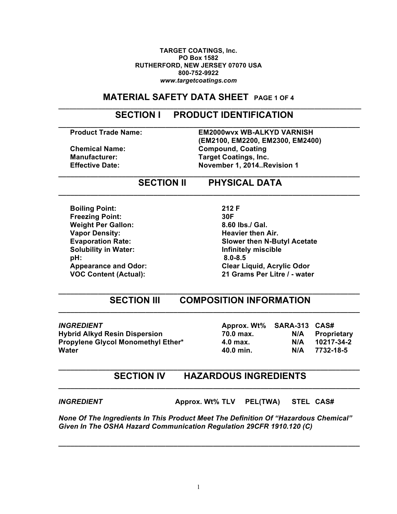#### **TARGET COATINGS, Inc. PO Box 1582 RUTHERFORD, NEW JERSEY 07070 USA 800-752-9922** *www.targetcoatings.com*

# **MATERIAL SAFETY DATA SHEET PAGE 1 OF 4**

# **SECTION I PRODUCT IDENTIFICATION**

**\_\_\_\_\_\_\_\_\_\_\_\_\_\_\_\_\_\_\_\_\_\_\_\_\_\_\_\_\_\_\_\_\_\_\_\_\_\_\_\_\_\_\_\_\_\_\_\_\_\_\_\_\_\_\_\_\_\_\_\_\_\_\_\_\_\_\_\_\_\_\_\_\_\_\_\_\_\_\_\_\_\_\_\_**

**\_\_\_\_\_\_\_\_\_\_\_\_\_\_\_\_\_\_\_\_\_\_\_\_\_\_\_\_\_\_\_\_\_\_\_\_\_\_\_\_\_\_\_\_\_\_\_\_\_\_\_\_\_\_\_\_\_\_\_\_\_\_\_\_\_\_\_\_\_\_\_\_\_\_\_\_**

**\_\_\_\_\_\_\_\_\_\_\_\_\_\_\_\_\_\_\_\_\_\_\_\_\_\_\_\_\_\_\_\_\_\_\_\_\_\_\_\_\_\_\_\_\_\_\_\_\_\_\_\_\_\_\_\_\_\_\_\_\_\_\_\_\_\_\_\_\_\_\_\_\_\_\_\_**

**\_\_\_\_\_\_\_\_\_\_\_\_\_\_\_\_\_\_\_\_\_\_\_\_\_\_\_\_\_\_\_\_\_\_\_\_\_\_\_\_\_\_\_\_\_\_\_\_\_\_\_\_\_\_\_\_\_\_\_\_\_\_\_\_\_\_\_\_\_\_\_\_\_\_\_\_**

**Product Trade Name: EM2000wvx WB-ALKYD VARNISH (EM2100, EM2200, EM2300, EM2400) Chemical Name: Compound, Coating Manufacturer: Target Coatings, Inc. Effective Date: November 1, 2014..Revision 1**

## **SECTION II PHYSICAL DATA**

**Boiling Point: 212 F Freezing Point: 30F Weight Per Gallon: 8.60 lbs./ Gal. Vapor Density:** All a straight a straight straight a Heavier then Air. **Solubility in Water: Infinitely miscible pH: 8.0-8.5**

**Evaporation Rate: Slower then N-Butyl Acetate Appearance and Odor: Clear Liquid, Acrylic Odor VOC Content (Actual): 21 Grams Per Litre / - water**

### **\_\_\_\_\_\_\_\_\_\_\_\_\_\_\_\_\_\_\_\_\_\_\_\_\_\_\_\_\_\_\_\_\_\_\_\_\_\_\_\_\_\_\_\_\_\_\_\_\_\_\_\_\_\_\_\_\_\_\_\_\_\_\_\_\_\_\_\_\_\_\_\_\_\_\_\_ SECTION III COMPOSITION INFORMATION \_\_\_\_\_\_\_\_\_\_\_\_\_\_\_\_\_\_\_\_\_\_\_\_\_\_\_\_\_\_\_\_\_\_\_\_\_\_\_\_\_\_\_\_\_\_\_\_\_\_\_\_\_\_\_\_\_\_\_\_\_\_\_\_\_\_\_\_\_\_\_\_\_\_\_\_**

*INGREDIENT* **Approx. Wt% SARA-313 CAS# Water 40.0 min. N/A 7732-18-5**

**Hybrid Alkyd Resin Dispersion 70.0 max. N/A Proprietary Propylene Glycol Monomethyl Ether\* 4.0 max. N/A 10217-34-2**

### **\_\_\_\_\_\_\_\_\_\_\_\_\_\_\_\_\_\_\_\_\_\_\_\_\_\_\_\_\_\_\_\_\_\_\_\_\_\_\_\_\_\_\_\_\_\_\_\_\_\_\_\_\_\_\_\_\_\_\_\_\_\_\_\_\_\_\_\_\_\_\_\_\_\_\_\_ SECTION IV HAZARDOUS INGREDIENTS \_\_\_\_\_\_\_\_\_\_\_\_\_\_\_\_\_\_\_\_\_\_\_\_\_\_\_\_\_\_\_\_\_\_\_\_\_\_\_\_\_\_\_\_\_\_\_\_\_\_\_\_\_\_\_\_\_\_\_\_\_\_\_\_\_\_\_\_\_\_\_\_\_\_\_\_**

*INGREDIENT* **Approx. Wt% TLV PEL(TWA) STEL CAS#**

*None Of The Ingredients In This Product Meet The Definition Of "Hazardous Chemical" Given In The OSHA Hazard Communication Regulation 29CFR 1910.120 (C)*

**\_\_\_\_\_\_\_\_\_\_\_\_\_\_\_\_\_\_\_\_\_\_\_\_\_\_\_\_\_\_\_\_\_\_\_\_\_\_\_\_\_\_\_\_\_\_\_\_\_\_\_\_\_\_\_\_\_\_\_\_\_\_\_\_\_\_\_\_\_\_\_\_\_\_\_\_**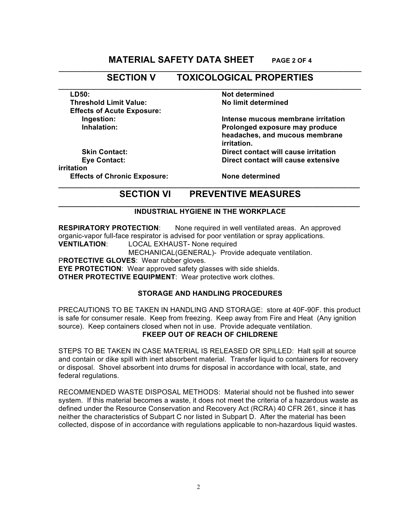## **MATERIAL SAFETY DATA SHEET PAGE 2 OF 4**

#### **\_\_\_\_\_\_\_\_\_\_\_\_\_\_\_\_\_\_\_\_\_\_\_\_\_\_\_\_\_\_\_\_\_\_\_\_\_\_\_\_\_\_\_\_\_\_\_\_\_\_\_\_\_\_\_\_\_\_\_\_\_\_\_\_\_\_\_\_\_\_\_\_\_\_\_\_\_\_\_\_\_\_\_\_ SECTION V TOXICOLOGICAL PROPERTIES \_\_\_\_\_\_\_\_\_\_\_\_\_\_\_\_\_\_\_\_\_\_\_\_\_\_\_\_\_\_\_\_\_\_\_\_\_\_\_\_\_\_\_\_\_\_\_\_\_\_\_\_\_\_\_\_\_\_\_\_\_\_\_\_\_\_\_\_\_\_\_\_\_\_\_\_\_\_\_\_\_\_\_\_**

**Threshold Limit Value: No limit determined Effects of Acute Exposure:**

**Skin Contact: Direct contact will cause irritation irritation Effects of Chronic Exposure: None determined**

**LD50: Not determined**

**Ingestion: Intense mucous membrane irritation Inhalation: Prolonged exposure may produce headaches, and mucous membrane irritation.**

**Eye Contact: Direct contact will cause extensive** 

### **\_\_\_\_\_\_\_\_\_\_\_\_\_\_\_\_\_\_\_\_\_\_\_\_\_\_\_\_\_\_\_\_\_\_\_\_\_\_\_\_\_\_\_\_\_\_\_\_\_\_\_\_\_\_\_\_\_\_\_\_\_\_\_\_\_\_\_\_\_\_\_\_\_\_\_\_ SECTION VI PREVENTIVE MEASURES**

#### **\_\_\_\_\_\_\_\_\_\_\_\_\_\_\_\_\_\_\_\_\_\_\_\_\_\_\_\_\_\_\_\_\_\_\_\_\_\_\_\_\_\_\_\_\_\_\_\_\_\_\_\_\_\_\_\_\_\_\_\_\_\_\_\_\_\_\_\_\_\_\_\_\_\_\_\_ INDUSTRIAL HYGIENE IN THE WORKPLACE**

**RESPIRATORY PROTECTION**: None required in well ventilated areas. An approved organic-vapor full-face respirator is advised for poor ventilation or spray applications. **VENTILATION**: LOCAL EXHAUST- None required

MECHANICAL(GENERAL)- Provide adequate ventilation.

P**ROTECTIVE GLOVES**: Wear rubber gloves.

**EYE PROTECTION**: Wear approved safety glasses with side shields.

**OTHER PROTECTIVE EQUIPMENT**: Wear protective work clothes.

### **STORAGE AND HANDLING PROCEDURES**

PRECAUTIONS TO BE TAKEN IN HANDLING AND STORAGE: store at 40F-90F. this product is safe for consumer resale. Keep from freezing. Keep away from Fire and Heat (Any ignition source). Keep containers closed when not in use. Provide adequate ventilation. **FKEEP OUT OF REACH OF CHILDRENE**

STEPS TO BE TAKEN IN CASE MATERIAL IS RELEASED OR SPILLED: Halt spill at source and contain or dike spill with inert absorbent material. Transfer liquid to containers for recovery or disposal. Shovel absorbent into drums for disposal in accordance with local, state, and federal regulations.

RECOMMENDED WASTE DISPOSAL METHODS: Material should not be flushed into sewer system. If this material becomes a waste, it does not meet the criteria of a hazardous waste as defined under the Resource Conservation and Recovery Act (RCRA) 40 CFR 261, since it has neither the characteristics of Subpart C nor listed in Subpart D. After the material has been collected, dispose of in accordance with regulations applicable to non-hazardous liquid wastes.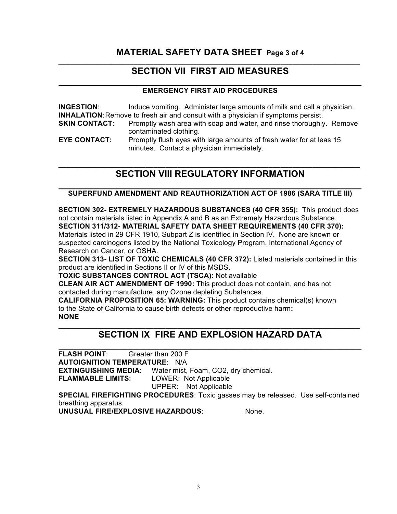### **MATERIAL SAFETY DATA SHEET Page 3 of 4 \_\_\_\_\_\_\_\_\_\_\_\_\_\_\_\_\_\_\_\_\_\_\_\_\_\_\_\_\_\_\_\_\_\_\_\_\_\_\_\_\_\_\_\_\_\_\_\_\_\_\_\_\_\_\_\_\_\_\_\_\_\_\_\_\_\_\_\_\_\_\_\_\_\_\_\_**

# **SECTION VII FIRST AID MEASURES**

### **\_\_\_\_\_\_\_\_\_\_\_\_\_\_\_\_\_\_\_\_\_\_\_\_\_\_\_\_\_\_\_\_\_\_\_\_\_\_\_\_\_\_\_\_\_\_\_\_\_\_\_\_\_\_\_\_\_\_\_\_ EMERGENCY FIRST AID PROCEDURES**

| <b>INGESTION:</b>    | Induce vomiting. Administer large amounts of milk and call a physician.                                           |
|----------------------|-------------------------------------------------------------------------------------------------------------------|
|                      | <b>INHALATION:</b> Remove to fresh air and consult with a physician if symptoms persist.                          |
| <b>SKIN CONTACT:</b> | Promptly wash area with soap and water, and rinse thoroughly. Remove<br>contaminated clothing.                    |
| <b>EYE CONTACT:</b>  | Promptly flush eyes with large amounts of fresh water for at leas 15<br>minutes. Contact a physician immediately. |

### **\_\_\_\_\_\_\_\_\_\_\_\_\_\_\_\_\_\_\_\_\_\_\_\_\_\_\_\_\_\_\_\_\_\_\_\_\_\_\_\_\_\_\_\_\_\_\_\_\_\_\_\_\_\_\_\_\_\_\_\_\_\_\_\_\_\_\_\_\_\_\_\_\_\_\_\_ SECTION VIII REGULATORY INFORMATION**

### **\_\_\_\_\_\_\_\_\_\_\_\_\_\_\_\_\_\_\_\_\_\_\_\_\_\_\_\_\_\_\_\_\_\_\_\_\_\_\_\_\_\_\_\_\_\_\_\_\_\_\_\_\_\_\_\_\_\_\_\_ SUPERFUND AMENDMENT AND REAUTHORIZATION ACT OF 1986 (SARA TITLE III)**

**SECTION 302- EXTREMELY HAZARDOUS SUBSTANCES (40 CFR 355):** This product does not contain materials listed in Appendix A and B as an Extremely Hazardous Substance. **SECTION 311/312- MATERIAL SAFETY DATA SHEET REQUIREMENTS (40 CFR 370):** Materials listed in 29 CFR 1910, Subpart Z is identified in Section IV. None are known or suspected carcinogens listed by the National Toxicology Program, International Agency of Research on Cancer, or OSHA.

**SECTION 313- LIST OF TOXIC CHEMICALS (40 CFR 372):** Listed materials contained in this product are identified in Sections II or IV of this MSDS.

**TOXIC SUBSTANCES CONTROL ACT (TSCA):** Not available

**CLEAN AIR ACT AMENDMENT OF 1990:** This product does not contain, and has not contacted during manufacture, any Ozone depleting Substances.

**CALIFORNIA PROPOSITION 65: WARNING:** This product contains chemical(s) known to the State of California to cause birth defects or other reproductive harm**: NONE**

### **\_\_\_\_\_\_\_\_\_\_\_\_\_\_\_\_\_\_\_\_\_\_\_\_\_\_\_\_\_\_\_\_\_\_\_\_\_\_\_\_\_\_\_\_\_\_\_\_\_\_\_\_\_\_\_\_\_\_\_\_\_\_\_\_\_\_\_\_\_\_\_\_\_\_\_\_ SECTION IX FIRE AND EXPLOSION HAZARD DATA**

**\_\_\_\_\_\_\_\_\_\_\_\_\_\_\_\_\_\_\_\_\_\_\_\_\_\_\_\_\_\_\_\_\_\_\_\_\_\_\_\_\_\_\_\_\_\_\_\_\_\_\_\_\_\_\_\_\_\_\_\_ FLASH POINT**: Greater than 200 F **AUTOIGNITION TEMPERATURE**: N/A **EXTINGUISHING MEDIA**: Water mist, Foam, CO2, dry chemical. **FLAMMABLE LIMITS**: LOWER: Not Applicable UPPER: Not Applicable **SPECIAL FIREFIGHTING PROCEDURES**: Toxic gasses may be released. Use self-contained

breathing apparatus.

**UNUSUAL FIRE/EXPLOSIVE HAZARDOUS**: None.